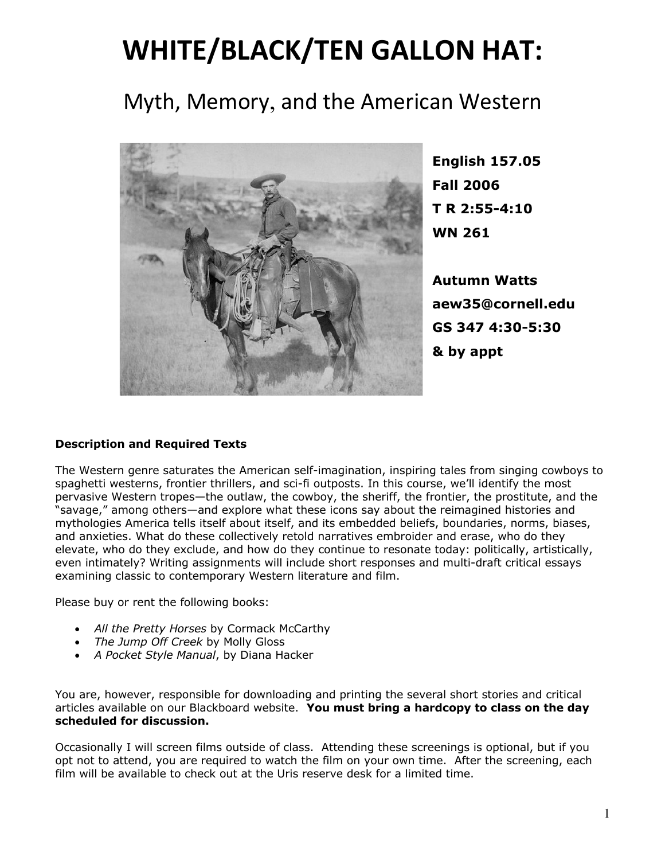# **WHITE/BLACK/TEN GALLON HAT:**

# Myth, Memory, and the American Western



**English 157.05 Fall 2006 T R 2:55-4:10 WN 261**

**Autumn Watts aew35@cornell.edu GS 347 4:30-5:30 & by appt**

# **Description and Required Texts**

The Western genre saturates the American self-imagination, inspiring tales from singing cowboys to spaghetti westerns, frontier thrillers, and sci-fi outposts. In this course, we'll identify the most pervasive Western tropes—the outlaw, the cowboy, the sheriff, the frontier, the prostitute, and the "savage," among others—and explore what these icons say about the reimagined histories and mythologies America tells itself about itself, and its embedded beliefs, boundaries, norms, biases, and anxieties. What do these collectively retold narratives embroider and erase, who do they elevate, who do they exclude, and how do they continue to resonate today: politically, artistically, even intimately? Writing assignments will include short responses and multi-draft critical essays examining classic to contemporary Western literature and film.

Please buy or rent the following books:

- *All the Pretty Horses* by Cormack McCarthy
- *The Jump Off Creek* by Molly Gloss
- *A Pocket Style Manual*, by Diana Hacker

You are, however, responsible for downloading and printing the several short stories and critical articles available on our Blackboard website. **You must bring a hardcopy to class on the day scheduled for discussion.**

Occasionally I will screen films outside of class. Attending these screenings is optional, but if you opt not to attend, you are required to watch the film on your own time. After the screening, each film will be available to check out at the Uris reserve desk for a limited time.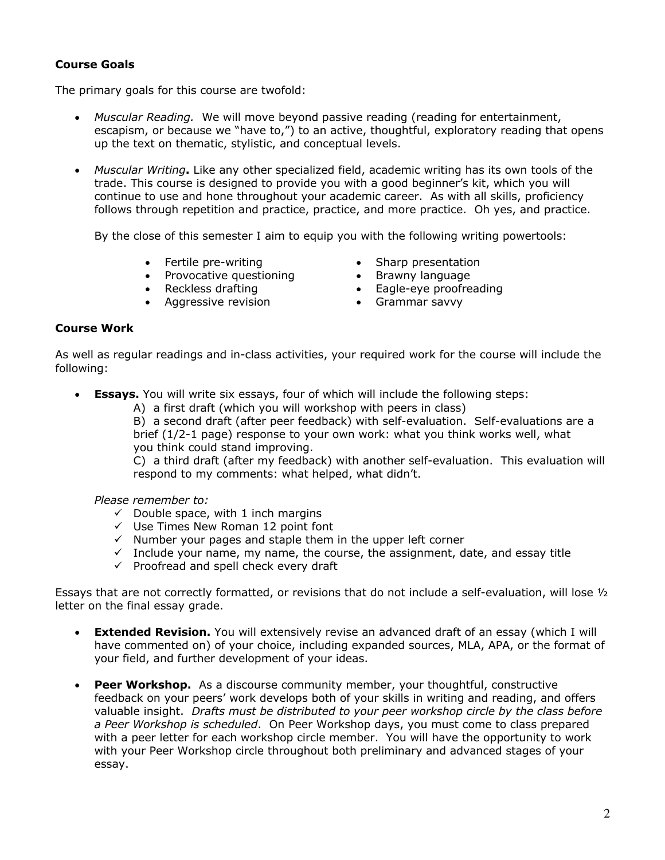# **Course Goals**

The primary goals for this course are twofold:

- *Muscular Reading.* We will move beyond passive reading (reading for entertainment, escapism, or because we "have to,") to an active, thoughtful, exploratory reading that opens up the text on thematic, stylistic, and conceptual levels.
- *Muscular Writing***.** Like any other specialized field, academic writing has its own tools of the trade. This course is designed to provide you with a good beginner's kit, which you will continue to use and hone throughout your academic career. As with all skills, proficiency follows through repetition and practice, practice, and more practice. Oh yes, and practice.

By the close of this semester I aim to equip you with the following writing powertools:

- 
- Fertile pre-writing Sharp presentation<br>• Provocative questioning Brawny language • Provocative questioning
- 
- Aggressive revision Grammar savvy
- 
- 
- Reckless drafting **•** Eagle-eye proofreading
	-

#### **Course Work**

As well as regular readings and in-class activities, your required work for the course will include the following:

- **Essays.** You will write six essays, four of which will include the following steps:
	- A) a first draft (which you will workshop with peers in class)

B) a second draft (after peer feedback) with self-evaluation. Self-evaluations are a brief (1/2-1 page) response to your own work: what you think works well, what you think could stand improving.

C) a third draft (after my feedback) with another self-evaluation. This evaluation will respond to my comments: what helped, what didn't.

*Please remember to:*

- $\checkmark$  Double space, with 1 inch margins
- $\checkmark$  Use Times New Roman 12 point font
- $\checkmark$  Number your pages and staple them in the upper left corner
- $\checkmark$  Include your name, my name, the course, the assignment, date, and essay title
- $\checkmark$  Proofread and spell check every draft

Essays that are not correctly formatted, or revisions that do not include a self-evaluation, will lose  $V_2$ letter on the final essay grade.

- **Extended Revision.** You will extensively revise an advanced draft of an essay (which I will have commented on) of your choice, including expanded sources, MLA, APA, or the format of your field, and further development of your ideas.
- **Peer Workshop.** As a discourse community member, your thoughtful, constructive feedback on your peers' work develops both of your skills in writing and reading, and offers valuable insight. *Drafts must be distributed to your peer workshop circle by the class before a Peer Workshop is scheduled*. On Peer Workshop days, you must come to class prepared with a peer letter for each workshop circle member. You will have the opportunity to work with your Peer Workshop circle throughout both preliminary and advanced stages of your essay.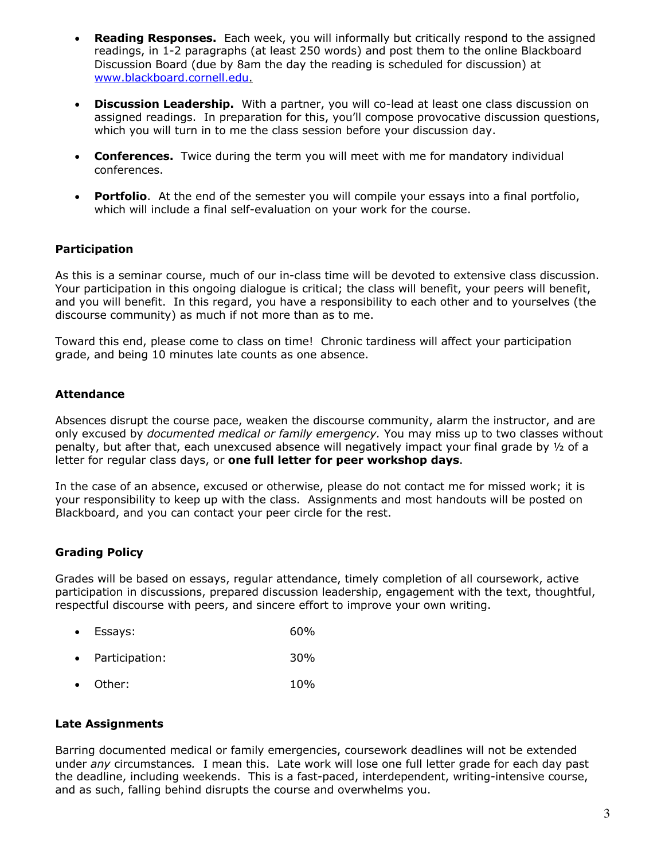- **Reading Responses.** Each week, you will informally but critically respond to the assigned readings, in 1-2 paragraphs (at least 250 words) and post them to the online Blackboard Discussion Board (due by 8am the day the reading is scheduled for discussion) at www.blackboard.cornell.edu.
- **Discussion Leadership.** With a partner, you will co-lead at least one class discussion on assigned readings. In preparation for this, you'll compose provocative discussion questions, which you will turn in to me the class session before your discussion day.
- **Conferences.** Twice during the term you will meet with me for mandatory individual conferences.
- **Portfolio**. At the end of the semester you will compile your essays into a final portfolio, which will include a final self-evaluation on your work for the course.

#### **Participation**

As this is a seminar course, much of our in-class time will be devoted to extensive class discussion. Your participation in this ongoing dialogue is critical; the class will benefit, your peers will benefit, and you will benefit. In this regard, you have a responsibility to each other and to yourselves (the discourse community) as much if not more than as to me.

Toward this end, please come to class on time! Chronic tardiness will affect your participation grade, and being 10 minutes late counts as one absence.

#### **Attendance**

Absences disrupt the course pace, weaken the discourse community, alarm the instructor, and are only excused by *documented medical or family emergency.* You may miss up to two classes without penalty, but after that, each unexcused absence will negatively impact your final grade by ½ of a letter for regular class days, or **one full letter for peer workshop days**.

In the case of an absence, excused or otherwise, please do not contact me for missed work; it is your responsibility to keep up with the class. Assignments and most handouts will be posted on Blackboard, and you can contact your peer circle for the rest.

# **Grading Policy**

Grades will be based on essays, regular attendance, timely completion of all coursework, active participation in discussions, prepared discussion leadership, engagement with the text, thoughtful, respectful discourse with peers, and sincere effort to improve your own writing.

- Essays: 60%
- Participation: 30%
- Other: 10%

#### **Late Assignments**

Barring documented medical or family emergencies, coursework deadlines will not be extended under *any* circumstances*.* I mean this. Late work will lose one full letter grade for each day past the deadline, including weekends. This is a fast-paced, interdependent, writing-intensive course, and as such, falling behind disrupts the course and overwhelms you.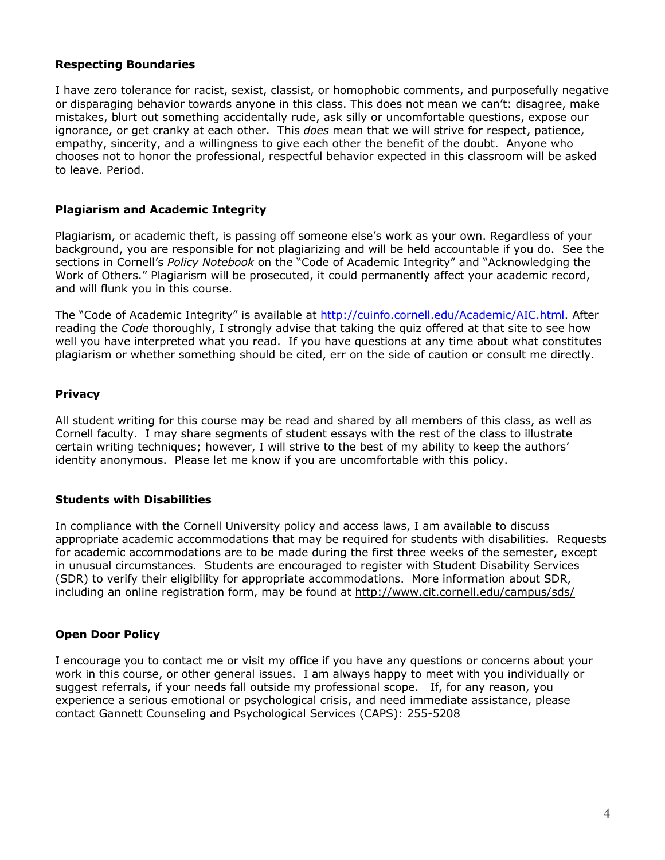#### **Respecting Boundaries**

I have zero tolerance for racist, sexist, classist, or homophobic comments, and purposefully negative or disparaging behavior towards anyone in this class. This does not mean we can't: disagree, make mistakes, blurt out something accidentally rude, ask silly or uncomfortable questions, expose our ignorance, or get cranky at each other. This *does* mean that we will strive for respect, patience, empathy, sincerity, and a willingness to give each other the benefit of the doubt. Anyone who chooses not to honor the professional, respectful behavior expected in this classroom will be asked to leave. Period.

# **Plagiarism and Academic Integrity**

Plagiarism, or academic theft, is passing off someone else's work as your own. Regardless of your background, you are responsible for not plagiarizing and will be held accountable if you do. See the sections in Cornell's *Policy Notebook* on the "Code of Academic Integrity" and "Acknowledging the Work of Others." Plagiarism will be prosecuted, it could permanently affect your academic record, and will flunk you in this course.

The "Code of Academic Integrity" is available at http://cuinfo.cornell.edu/Academic/AIC.html. After reading the *Code* thoroughly, I strongly advise that taking the quiz offered at that site to see how well you have interpreted what you read. If you have questions at any time about what constitutes plagiarism or whether something should be cited, err on the side of caution or consult me directly.

# **Privacy**

All student writing for this course may be read and shared by all members of this class, as well as Cornell faculty. I may share segments of student essays with the rest of the class to illustrate certain writing techniques; however, I will strive to the best of my ability to keep the authors' identity anonymous. Please let me know if you are uncomfortable with this policy.

# **Students with Disabilities**

In compliance with the Cornell University policy and access laws, I am available to discuss appropriate academic accommodations that may be required for students with disabilities. Requests for academic accommodations are to be made during the first three weeks of the semester, except in unusual circumstances. Students are encouraged to register with Student Disability Services (SDR) to verify their eligibility for appropriate accommodations. More information about SDR, including an online registration form, may be found at http://www.cit.cornell.edu/campus/sds/

# **Open Door Policy**

I encourage you to contact me or visit my office if you have any questions or concerns about your work in this course, or other general issues. I am always happy to meet with you individually or suggest referrals, if your needs fall outside my professional scope. If, for any reason, you experience a serious emotional or psychological crisis, and need immediate assistance, please contact Gannett Counseling and Psychological Services (CAPS): 255-5208